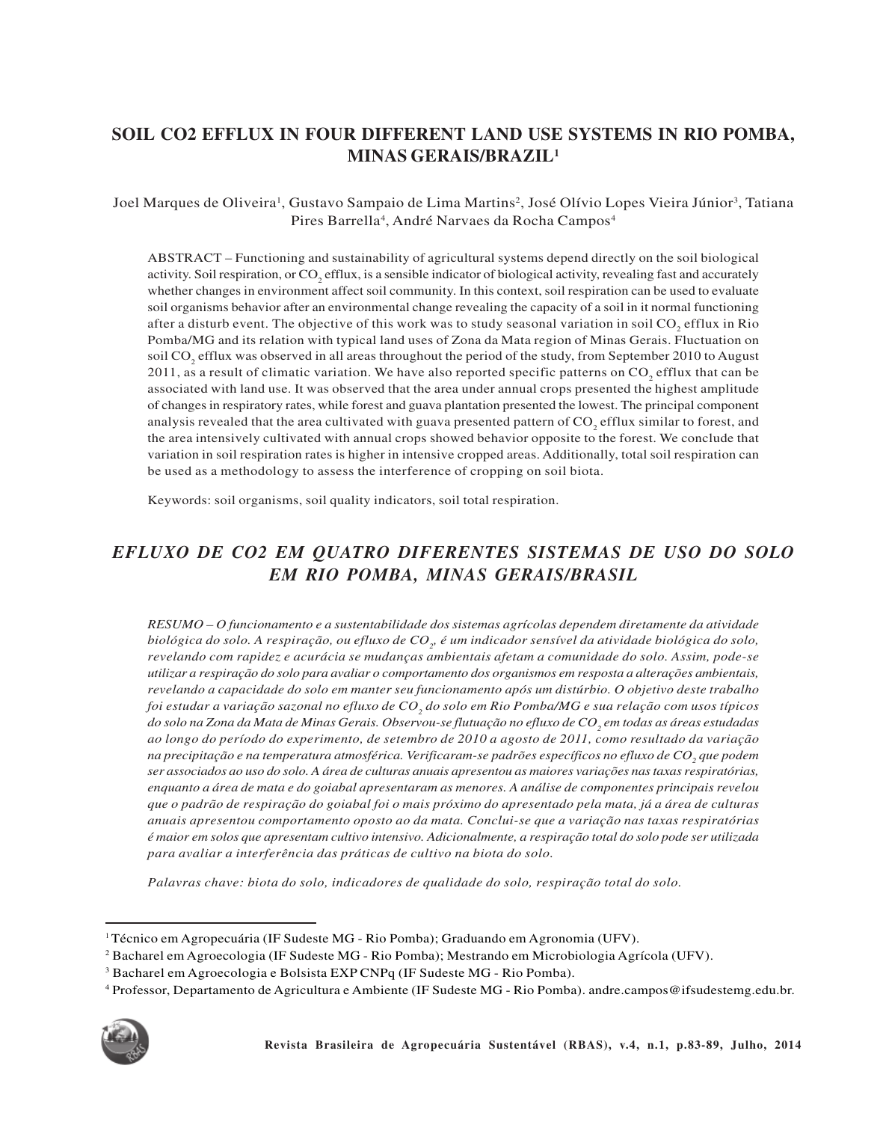# **SOIL CO2 EFFLUX IN FOUR DIFFERENT LAND USE SYSTEMS IN RIO POMBA, MINAS GERAIS/BRAZIL<sup>1</sup>**

Joel Marques de Oliveira<sup>1</sup>, Gustavo Sampaio de Lima Martins<sup>2</sup>, José Olívio Lopes Vieira Júnior<sup>3</sup>, Tatiana Pires Barrella<sup>4</sup>, André Narvaes da Rocha Campos<sup>4</sup>

ABSTRACT – Functioning and sustainability of agricultural systems depend directly on the soil biological activity. Soil respiration, or  $CO_2$  efflux, is a sensible indicator of biological activity, revealing fast and accurately whether changes in environment affect soil community. In this context, soil respiration can be used to evaluate soil organisms behavior after an environmental change revealing the capacity of a soil in it normal functioning after a disturb event. The objective of this work was to study seasonal variation in soil  $CO_2$  efflux in Rio Pomba/MG and its relation with typical land uses of Zona da Mata region of Minas Gerais. Fluctuation on soil  $CO_2$  efflux was observed in all areas throughout the period of the study, from September 2010 to August 2011, as a result of climatic variation. We have also reported specific patterns on  $CO_2$  efflux that can be associated with land use. It was observed that the area under annual crops presented the highest amplitude of changes in respiratory rates, while forest and guava plantation presented the lowest. The principal component analysis revealed that the area cultivated with guava presented pattern of  $CO_2$  efflux similar to forest, and the area intensively cultivated with annual crops showed behavior opposite to the forest. We conclude that variation in soil respiration rates is higher in intensive cropped areas. Additionally, total soil respiration can be used as a methodology to assess the interference of cropping on soil biota.

Keywords: soil organisms, soil quality indicators, soil total respiration.

## *EFLUXO DE CO2 EM QUATRO DIFERENTES SISTEMAS DE USO DO SOLO EM RIO POMBA, MINAS GERAIS/BRASIL*

*RESUMO – O funcionamento e a sustentabilidade dos sistemas agrícolas dependem diretamente da atividade biológica do solo. A respiração, ou efluxo de CO<sup>2</sup> , é um indicador sensível da atividade biológica do solo, revelando com rapidez e acurácia se mudanças ambientais afetam a comunidade do solo. Assim, pode-se utilizar a respiração do solo para avaliar o comportamento dos organismos em resposta a alterações ambientais, revelando a capacidade do solo em manter seu funcionamento após um distúrbio. O objetivo deste trabalho foi estudar a variação sazonal no efluxo de CO<sup>2</sup> do solo em Rio Pomba/MG e sua relação com usos típicos do solo na Zona da Mata de Minas Gerais. Observou-se flutuação no efluxo de CO<sup>2</sup> em todas as áreas estudadas ao longo do período do experimento, de setembro de 2010 a agosto de 2011, como resultado da variação na precipitação e na temperatura atmosférica. Verificaram-se padrões específicos no efluxo de CO<sup>2</sup> que podem ser associados ao uso do solo. A área de culturas anuais apresentou as maiores variações nas taxas respiratórias, enquanto a área de mata e do goiabal apresentaram as menores. A análise de componentes principais revelou que o padrão de respiração do goiabal foi o mais próximo do apresentado pela mata, já a área de culturas anuais apresentou comportamento oposto ao da mata. Conclui-se que a variação nas taxas respiratórias é maior em solos que apresentam cultivo intensivo. Adicionalmente, a respiração total do solo pode ser utilizada para avaliar a interferência das práticas de cultivo na biota do solo.*

*Palavras chave: biota do solo, indicadores de qualidade do solo, respiração total do solo.*

<sup>4</sup> Professor, Departamento de Agricultura e Ambiente (IF Sudeste MG - Rio Pomba). andre.campos@ifsudestemg.edu.br.



<sup>1</sup>Técnico em Agropecuária (IF Sudeste MG - Rio Pomba); Graduando em Agronomia (UFV).

<sup>2</sup> Bacharel em Agroecologia (IF Sudeste MG - Rio Pomba); Mestrando em Microbiologia Agrícola (UFV).

<sup>&</sup>lt;sup>3</sup> Bacharel em Agroecologia e Bolsista EXP CNPq (IF Sudeste MG - Rio Pomba).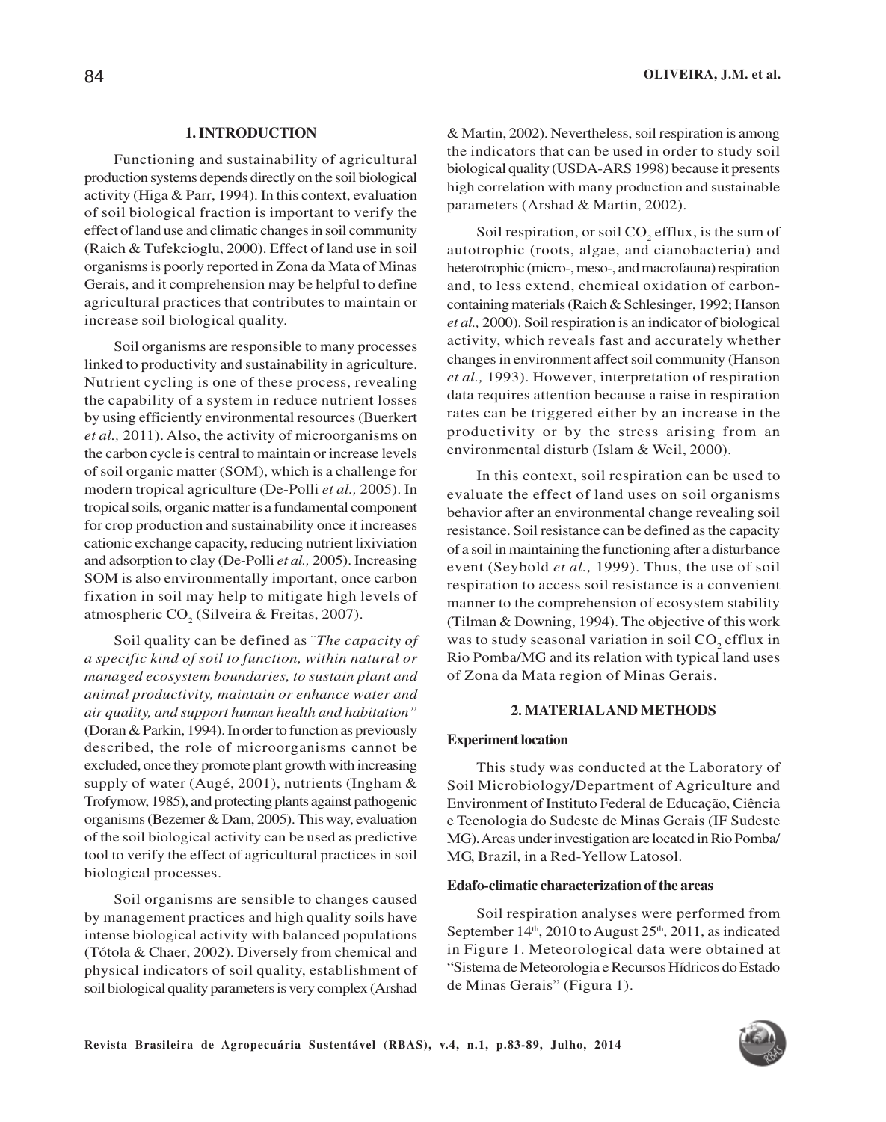## **1. INTRODUCTION**

Functioning and sustainability of agricultural production systems depends directly on the soil biological activity (Higa & Parr, 1994). In this context, evaluation of soil biological fraction is important to verify the effect of land use and climatic changes in soil community (Raich & Tufekcioglu, 2000). Effect of land use in soil organisms is poorly reported in Zona da Mata of Minas Gerais, and it comprehension may be helpful to define agricultural practices that contributes to maintain or increase soil biological quality.

Soil organisms are responsible to many processes linked to productivity and sustainability in agriculture. Nutrient cycling is one of these process, revealing the capability of a system in reduce nutrient losses by using efficiently environmental resources (Buerkert *et al.,* 2011). Also, the activity of microorganisms on the carbon cycle is central to maintain or increase levels of soil organic matter (SOM), which is a challenge for modern tropical agriculture (De-Polli *et al.,* 2005). In tropical soils, organic matter is a fundamental component for crop production and sustainability once it increases cationic exchange capacity, reducing nutrient lixiviation and adsorption to clay (De-Polli *et al.,* 2005). Increasing SOM is also environmentally important, once carbon fixation in soil may help to mitigate high levels of atmospheric CO<sub>2</sub> (Silveira & Freitas, 2007).

Soil quality can be defined as ¨*The capacity of a specific kind of soil to function, within natural or managed ecosystem boundaries, to sustain plant and animal productivity, maintain or enhance water and air quality, and support human health and habitation"* (Doran & Parkin, 1994). In order to function as previously described, the role of microorganisms cannot be excluded, once they promote plant growth with increasing supply of water (Augé, 2001), nutrients (Ingham & Trofymow, 1985), and protecting plants against pathogenic organisms (Bezemer & Dam, 2005). This way, evaluation of the soil biological activity can be used as predictive tool to verify the effect of agricultural practices in soil biological processes.

Soil organisms are sensible to changes caused by management practices and high quality soils have intense biological activity with balanced populations (Tótola & Chaer, 2002). Diversely from chemical and physical indicators of soil quality, establishment of soil biological quality parameters is very complex (Arshad

& Martin, 2002). Nevertheless, soil respiration is among the indicators that can be used in order to study soil biological quality (USDA-ARS 1998) because it presents high correlation with many production and sustainable parameters (Arshad & Martin, 2002).

Soil respiration, or soil  $CO<sub>2</sub>$  efflux, is the sum of autotrophic (roots, algae, and cianobacteria) and heterotrophic (micro-, meso-, and macrofauna) respiration and, to less extend, chemical oxidation of carboncontaining materials (Raich & Schlesinger, 1992; Hanson *et al.,* 2000). Soil respiration is an indicator of biological activity, which reveals fast and accurately whether changes in environment affect soil community (Hanson *et al.,* 1993). However, interpretation of respiration data requires attention because a raise in respiration rates can be triggered either by an increase in the productivity or by the stress arising from an environmental disturb (Islam & Weil, 2000).

In this context, soil respiration can be used to evaluate the effect of land uses on soil organisms behavior after an environmental change revealing soil resistance. Soil resistance can be defined as the capacity of a soil in maintaining the functioning after a disturbance event (Seybold *et al.,* 1999). Thus, the use of soil respiration to access soil resistance is a convenient manner to the comprehension of ecosystem stability (Tilman & Downing, 1994). The objective of this work was to study seasonal variation in soil  $CO_2$  efflux in Rio Pomba/MG and its relation with typical land uses of Zona da Mata region of Minas Gerais.

#### **2. MATERIALAND METHODS**

#### **Experiment location**

This study was conducted at the Laboratory of Soil Microbiology/Department of Agriculture and Environment of Instituto Federal de Educação, Ciência e Tecnologia do Sudeste de Minas Gerais (IF Sudeste MG). Areas under investigation are located in Rio Pomba/ MG, Brazil, in a Red-Yellow Latosol.

#### **Edafo-climatic characterization of the areas**

Soil respiration analyses were performed from September 14<sup>th</sup>, 2010 to August 25<sup>th</sup>, 2011, as indicated in Figure 1. Meteorological data were obtained at "Sistema de Meteorologia e Recursos Hídricos do Estado de Minas Gerais" (Figura 1).

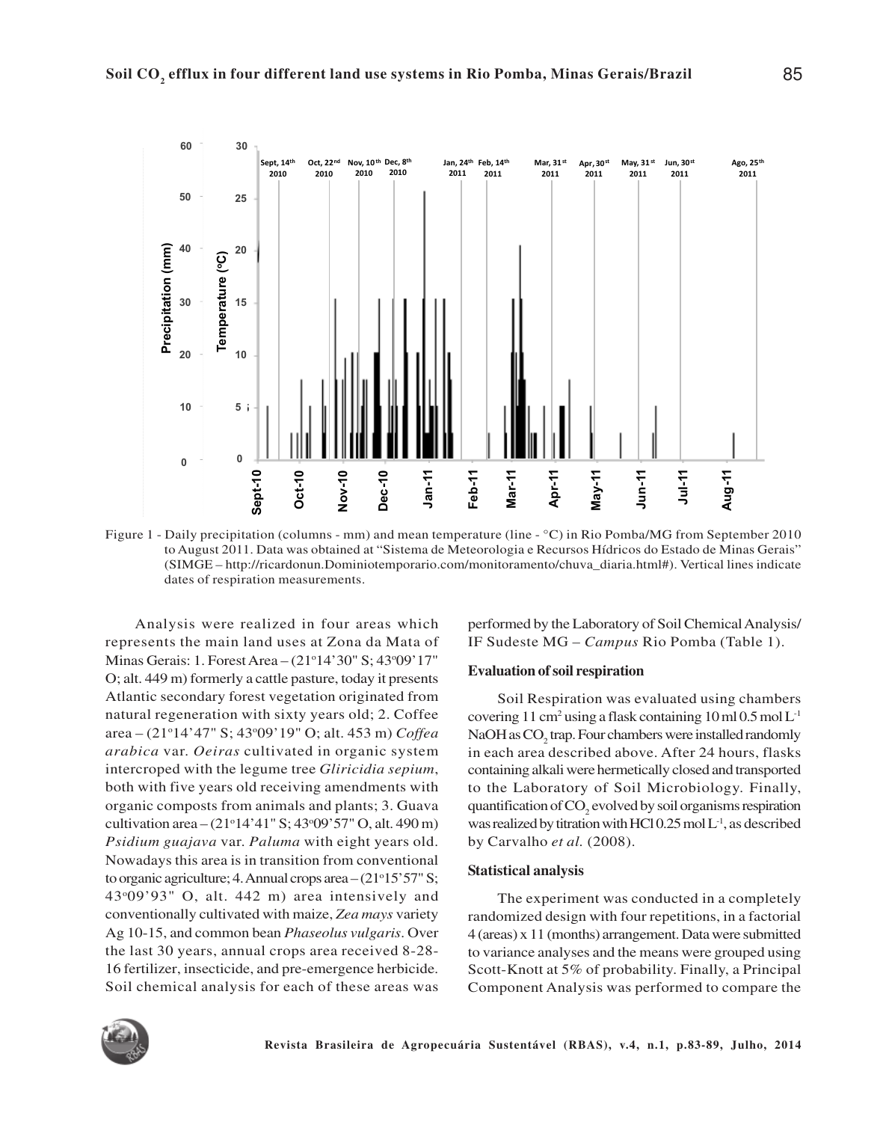

Figure 1 - Daily precipitation (columns - mm) and mean temperature (line - °C) in Rio Pomba/MG from September 2010 to August 2011. Data was obtained at "Sistema de Meteorologia e Recursos Hídricos do Estado de Minas Gerais" (SIMGE – http://ricardonun.Dominiotemporario.com/monitoramento/chuva\_diaria.html#). Vertical lines indicate

Analysis were realized in four areas which represents the main land uses at Zona da Mata of Minas Gerais: 1. Forest Area – (21<sup>o</sup>14'30" S; 43<sup>o</sup>09'17" O; alt. 449 m) formerly a cattle pasture, today it presents Atlantic secondary forest vegetation originated from natural regeneration with sixty years old; 2. Coffee area – (21o14'47" S; 43o09'19" O; alt. 453 m) *Coffea arabica* var. *Oeiras* cultivated in organic system intercroped with the legume tree *Gliricidia sepium*, both with five years old receiving amendments with organic composts from animals and plants; 3. Guava cultivation area –  $(21°14'41" S; 43°09'57" O, alt. 490 m)$ *Psidium guajava* var. *Paluma* with eight years old. Nowadays this area is in transition from conventional to organic agriculture; 4. Annual crops area  $-(21°15'57" S;$ 43o09'93" O, alt. 442 m) area intensively and conventionally cultivated with maize, *Zea mays* variety Ag 10-15, and common bean *Phaseolus vulgaris*. Over the last 30 years, annual crops area received 8-28- 16 fertilizer, insecticide, and pre-emergence herbicide. Soil chemical analysis for each of these areas was

performed by the Laboratory of Soil Chemical Analysis/ IF Sudeste MG – *Campus* Rio Pomba (Table 1).

#### **Evaluation of soil respiration**

Soil Respiration was evaluated using chambers covering 11 cm<sup>2</sup> using a flask containing  $10$  ml  $0.5$  mol  $L<sup>-1</sup>$ NaOH as  $CO<sub>2</sub>$  trap. Four chambers were installed randomly in each area described above. After 24 hours, flasks containing alkali were hermetically closed and transported to the Laboratory of Soil Microbiology. Finally, quantification of  $CO<sub>2</sub>$  evolved by soil organisms respiration was realized by titration with HCl  $0.25 \text{ mol} L^{-1}$ , as described by Carvalho *et al.* (2008).

#### **Statistical analysis**

The experiment was conducted in a completely randomized design with four repetitions, in a factorial 4 (areas) x 11 (months) arrangement. Data were submitted to variance analyses and the means were grouped using Scott-Knott at 5% of probability. Finally, a Principal Component Analysis was performed to compare the

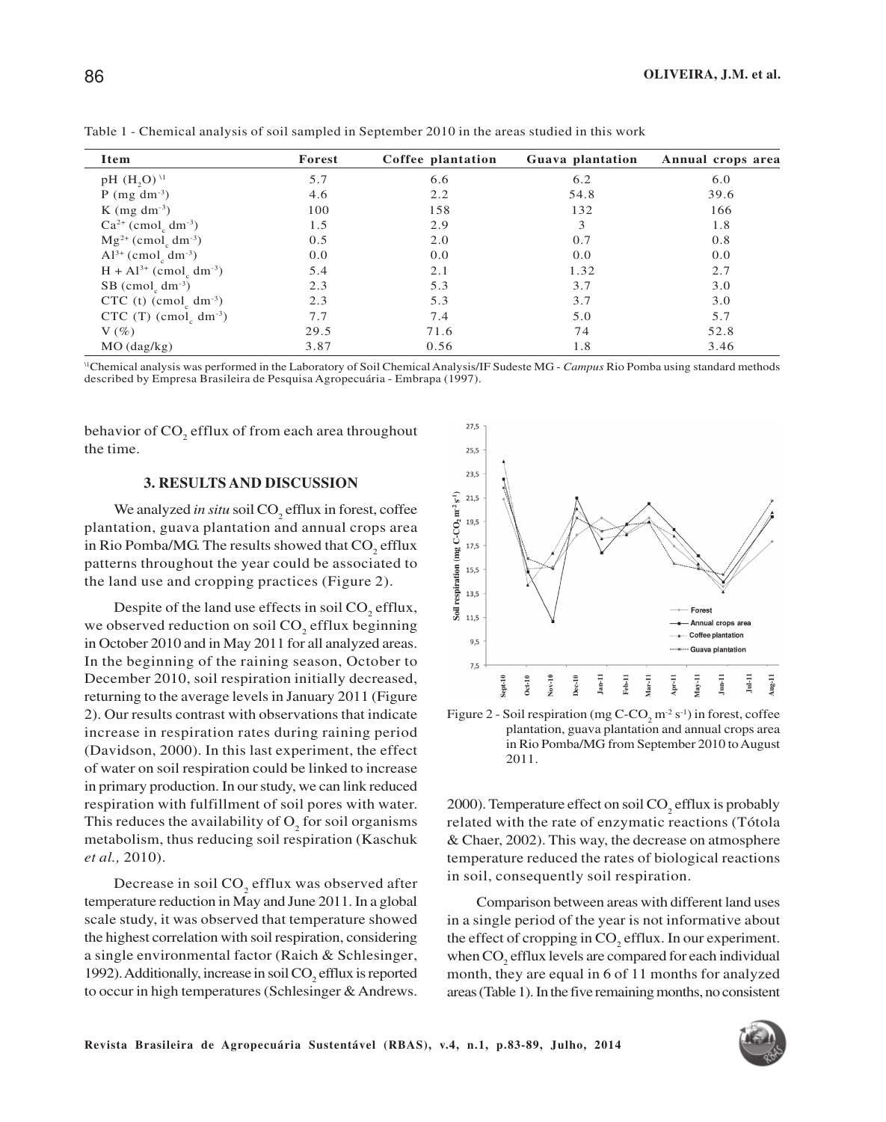**OLIVEIRA, J.M. et al.**

| Item                                                     | Forest | Coffee plantation | Guava plantation | Annual crops area |
|----------------------------------------------------------|--------|-------------------|------------------|-------------------|
| $pH$ (H <sub>2</sub> O) <sup>11</sup>                    | 5.7    | 6.6               | 6.2              | 6.0               |
| $P$ (mg dm <sup>-3</sup> )                               | 4.6    | 2.2               | 54.8             | 39.6              |
| K $(mg dm^{-3})$                                         | 100    | 158               | 132              | 166               |
| $Ca^{2+}$ (cmol <sub>c</sub> dm <sup>-3</sup> )          | 1.5    | 2.9               | 3                | 1.8               |
| $Mg^{2+}$ (cmol <sub>c</sub> dm <sup>-3</sup> )          | 0.5    | 2.0               | 0.7              | 0.8               |
| $Al^{3+}$ (cmol <sub>c</sub> dm <sup>-3</sup> )          | 0.0    | 0.0               | 0.0              | 0.0               |
| $H + Al^{3+} (cmolc dm-3)$                               | 5.4    | 2.1               | 1.32             | 2.7               |
| $SB$ (cmol <sub><math>_2</math></sub> dm <sup>-3</sup> ) | 2.3    | 5.3               | 3.7              | 3.0               |
| CTC (t) $\text{(cmol}_c \text{ dm}^{-3}\text{)}$         | 2.3    | 5.3               | 3.7              | 3.0               |
| CTC (T) (cmol <sub>c</sub> dm <sup>-3</sup> )            | 7.7    | 7.4               | 5.0              | 5.7               |
| $V(\%)$                                                  | 29.5   | 71.6              | 74               | 52.8              |
| MO (dag/kg)                                              | 3.87   | 0.56              | 1.8              | 3.46              |

Table 1 - Chemical analysis of soil sampled in September 2010 in the areas studied in this work

<sup>\1</sup>Chemical analysis was performed in the Laboratory of Soil Chemical Analysis/IF Sudeste MG - *Campus* Rio Pomba using standard methods<br>described by Empresa Brasileira de Pesquisa Agropecuária - Embrapa (1997).

behavior of CO<sub>2</sub> efflux of from each area throughout the time.

#### **3. RESULTS AND DISCUSSION**

We analyzed *in situ* soil CO<sub>2</sub> efflux in forest, coffee plantation, guava plantation and annual crops area in Rio Pomba/MG. The results showed that  $\mathrm{CO}_2^{\phantom{\dag}}$  efflux patterns throughout the year could be associated to the land use and cropping practices (Figure 2).

Despite of the land use effects in soil  $CO<sub>2</sub>$  efflux, we observed reduction on soil  $CO_2$  efflux beginning in October 2010 and in May 2011 for all analyzed areas. In the beginning of the raining season, October to December 2010, soil respiration initially decreased, returning to the average levels in January 2011 (Figure 2). Our results contrast with observations that indicate increase in respiration rates during raining period (Davidson, 2000). In this last experiment, the effect of water on soil respiration could be linked to increase in primary production. In our study, we can link reduced respiration with fulfillment of soil pores with water. This reduces the availability of  $O_2$  for soil organisms metabolism, thus reducing soil respiration (Kaschuk *et al.,* 2010).

Decrease in soil  $CO<sub>2</sub>$  efflux was observed after temperature reduction in May and June 2011. In a global scale study, it was observed that temperature showed the highest correlation with soil respiration, considering a single environmental factor (Raich & Schlesinger, 1992). Additionally, increase in soil  $CO<sub>2</sub>$  efflux is reported to occur in high temperatures (Schlesinger & Andrews.



Figure 2 - Soil respiration (mg  $C$ - $CO_2$  m<sup>-2</sup> s<sup>-1</sup>) in forest, coffee plantation, guava plantation and annual crops area in Rio Pomba/MG from September 2010 to August 2011.

2000). Temperature effect on soil  $CO<sub>2</sub>$  efflux is probably related with the rate of enzymatic reactions (Tótola & Chaer, 2002). This way, the decrease on atmosphere temperature reduced the rates of biological reactions in soil, consequently soil respiration.

Comparison between areas with different land uses in a single period of the year is not informative about the effect of cropping in  $CO<sub>2</sub>$  efflux. In our experiment. when  $CO<sub>2</sub>$  efflux levels are compared for each individual month, they are equal in 6 of 11 months for analyzed areas (Table 1). In the five remaining months, no consistent

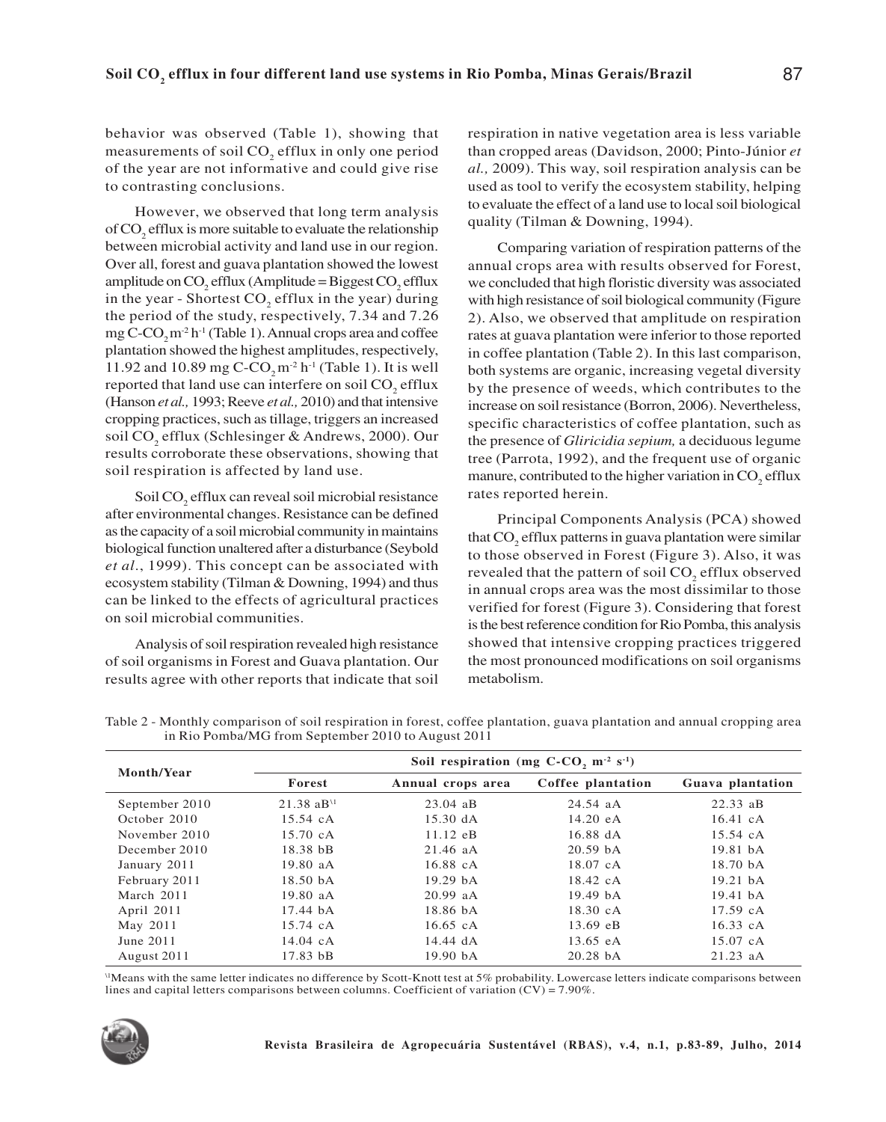behavior was observed (Table 1), showing that measurements of soil  $CO<sub>2</sub>$  efflux in only one period of the year are not informative and could give rise to contrasting conclusions.

However, we observed that long term analysis of  $CO<sub>2</sub>$  efflux is more suitable to evaluate the relationship between microbial activity and land use in our region. Over all, forest and guava plantation showed the lowest amplitude on  $CO_2$  efflux (Amplitude = Biggest  $CO_2$  efflux in the year - Shortest  $CO<sub>2</sub>$  efflux in the year) during the period of the study, respectively, 7.34 and 7.26 mg  $C$ - $CO<sub>2</sub>$ m<sup>-2</sup> h<sup>-1</sup> (Table 1). Annual crops area and coffee plantation showed the highest amplitudes, respectively, 11.92 and 10.89 mg C-CO<sub>2</sub> m<sup>-2</sup> h<sup>-1</sup> (Table 1). It is well reported that land use can interfere on soil  $CO<sub>2</sub>$  efflux (Hanson *et al.,* 1993; Reeve *et al.,* 2010) and that intensive cropping practices, such as tillage, triggers an increased soil CO<sub>2</sub> efflux (Schlesinger & Andrews, 2000). Our results corroborate these observations, showing that soil respiration is affected by land use.

Soil CO<sub>2</sub> efflux can reveal soil microbial resistance after environmental changes. Resistance can be defined as the capacity of a soil microbial community in maintains biological function unaltered after a disturbance (Seybold *et al*., 1999). This concept can be associated with ecosystem stability (Tilman & Downing, 1994) and thus can be linked to the effects of agricultural practices on soil microbial communities.

Analysis of soil respiration revealed high resistance of soil organisms in Forest and Guava plantation. Our results agree with other reports that indicate that soil

respiration in native vegetation area is less variable than cropped areas (Davidson, 2000; Pinto-Júnior *et al.,* 2009). This way, soil respiration analysis can be used as tool to verify the ecosystem stability, helping to evaluate the effect of a land use to local soil biological quality (Tilman & Downing, 1994).

Comparing variation of respiration patterns of the annual crops area with results observed for Forest, we concluded that high floristic diversity was associated with high resistance of soil biological community (Figure 2). Also, we observed that amplitude on respiration rates at guava plantation were inferior to those reported in coffee plantation (Table 2). In this last comparison, both systems are organic, increasing vegetal diversity by the presence of weeds, which contributes to the increase on soil resistance (Borron, 2006). Nevertheless, specific characteristics of coffee plantation, such as the presence of *Gliricidia sepium,* a deciduous legume tree (Parrota, 1992), and the frequent use of organic manure, contributed to the higher variation in  $CO<sub>2</sub>$  efflux rates reported herein.

Principal Components Analysis (PCA) showed that CO<sub>2</sub> efflux patterns in guava plantation were similar to those observed in Forest (Figure 3). Also, it was revealed that the pattern of soil  $\mathrm{CO}_2$  efflux observed in annual crops area was the most dissimilar to those verified for forest (Figure 3). Considering that forest is the best reference condition for Rio Pomba, this analysis showed that intensive cropping practices triggered the most pronounced modifications on soil organisms metabolism.

Soil respiration (mg  $C$ - $CO<sub>2</sub>$  m<sup>-2</sup> s<sup>-1</sup>) **Month/Year Forest Annual crops area Coffee plantation Guava plantation** September 2010 21.38 aB<sup>\1</sup> 23.04 aB 24.54 aA 22.33 aB October 2010 15.54 cA 15.30 dA 14.20 eA 16.41 cA November 2010 15.70 cA 11.12 eB 16.88 dA 15.54 cA December 2010 18.38 bB 21.46 aA 20.59 bA 19.81 bA January 2011 19.80 aA 16.88 cA 18.07 cA 18.70 bA February 2011 18.50 bA 19.29 bA 18.42 cA 19.21 bA March 2011 19.80 aA 20.99 aA 19.49 bA 19.41 bA April 2011 17.44 bA 18.86 bA 18.30 cA 17.59 cA May 2011 15.74 cA 16.65 cA 13.69 eB 16.33 cA June 2011 14.04 cA 14.44 dA 13.65 eA 15.07 cA August 2011 17.83 bB 19.90 bA 20.28 bA 21.23 aA

Table 2 - Monthly comparison of soil respiration in forest, coffee plantation, guava plantation and annual cropping area in Rio Pomba/MG from September 2010 to August 2011

\1Means with the same letter indicates no difference by Scott-Knott test at 5% probability. Lowercase letters indicate comparisons between lines and capital letters comparisons between columns. Coefficient of variation (CV) = 7.90%.

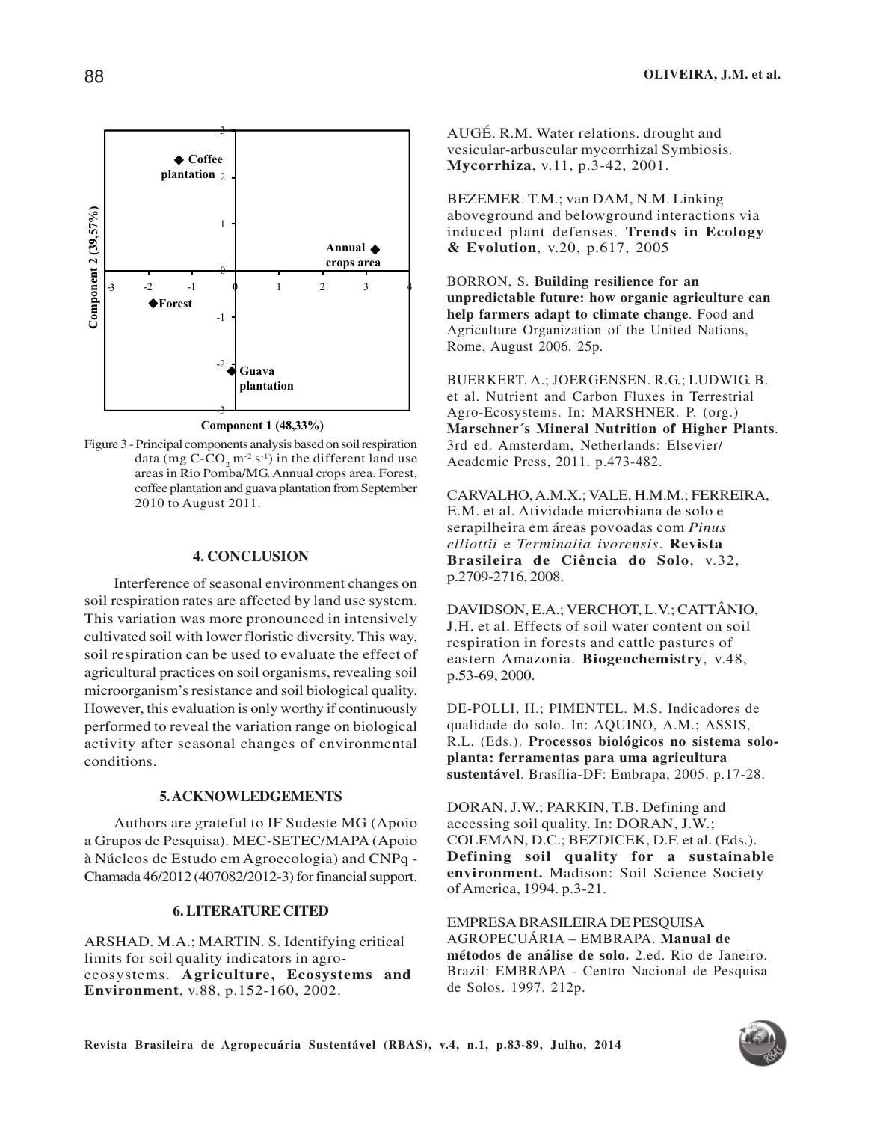

**Component 1 (48,33%)**

Figure 3 - Principal components analysis based on soil respiration data (mg  $C$ - $CO_2$  m<sup>-2</sup> s<sup>-1</sup>) in the different land use areas in Rio Pomba/MG. Annual crops area. Forest, coffee plantation and guava plantation from September 2010 to August 2011.

### **4. CONCLUSION**

Interference of seasonal environment changes on soil respiration rates are affected by land use system. This variation was more pronounced in intensively cultivated soil with lower floristic diversity. This way, soil respiration can be used to evaluate the effect of agricultural practices on soil organisms, revealing soil microorganism's resistance and soil biological quality. However, this evaluation is only worthy if continuously performed to reveal the variation range on biological activity after seasonal changes of environmental conditions.

#### **5. ACKNOWLEDGEMENTS**

Authors are grateful to IF Sudeste MG (Apoio a Grupos de Pesquisa). MEC-SETEC/MAPA (Apoio à Núcleos de Estudo em Agroecologia) and CNPq - Chamada 46/2012 (407082/2012-3) for financial support.

## **6. LITERATURE CITED**

ARSHAD. M.A.; MARTIN. S. Identifying critical limits for soil quality indicators in agroecosystems. **Agriculture, Ecosystems and Environment**, v.88, p.152-160, 2002.

AUGÉ. R.M. Water relations. drought and vesicular-arbuscular mycorrhizal Symbiosis. **Mycorrhiza**, v.11, p.3-42, 2001.

BEZEMER. T.M.; van DAM, N.M. Linking aboveground and belowground interactions via induced plant defenses. **Trends in Ecology & Evolution**, v.20, p.617, 2005

BORRON, S. **Building resilience for an unpredictable future: how organic agriculture can help farmers adapt to climate change**. Food and Agriculture Organization of the United Nations, Rome, August 2006. 25p.

BUERKERT. A.; JOERGENSEN. R.G.; LUDWIG. B. et al. Nutrient and Carbon Fluxes in Terrestrial Agro-Ecosystems. In: MARSHNER. P. (org.) **Marschner´s Mineral Nutrition of Higher Plants**. 3rd ed. Amsterdam, Netherlands: Elsevier/ Academic Press, 2011. p.473-482.

CARVALHO, A.M.X.; VALE, H.M.M.; FERREIRA, E.M. et al. Atividade microbiana de solo e serapilheira em áreas povoadas com *Pinus elliottii* e *Terminalia ivorensis*. **Revista Brasileira de Ciência do Solo**, v.32, p.2709-2716, 2008.

DAVIDSON, E.A.; VERCHOT, L.V.; CATTÂNIO, J.H. et al. Effects of soil water content on soil respiration in forests and cattle pastures of eastern Amazonia. **Biogeochemistry**, v.48, p.53-69, 2000.

DE-POLLI, H.; PIMENTEL. M.S. Indicadores de qualidade do solo. In: AQUINO, A.M.; ASSIS, R.L. (Eds.). **Processos biológicos no sistema soloplanta: ferramentas para uma agricultura sustentável**. Brasília-DF: Embrapa, 2005. p.17-28.

DORAN, J.W.; PARKIN, T.B. Defining and accessing soil quality. In: DORAN, J.W.; COLEMAN, D.C.; BEZDICEK, D.F. et al. (Eds.). **Defining soil quality for a sustainable environment.** Madison: Soil Science Society of America, 1994. p.3-21.

EMPRESA BRASILEIRA DE PESQUISA AGROPECUÁRIA – EMBRAPA. **Manual de métodos de análise de solo.** 2.ed. Rio de Janeiro. Brazil: EMBRAPA - Centro Nacional de Pesquisa de Solos. 1997. 212p.